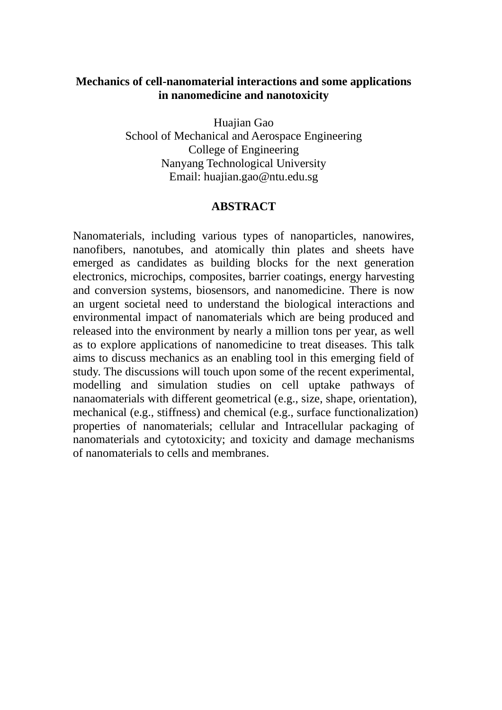## **Mechanics of cell-nanomaterial interactions and some applications in nanomedicine and nanotoxicity**

Huajian Gao School of Mechanical and Aerospace Engineering College of Engineering Nanyang Technological University Email: huajian.gao@ntu.edu.sg

## **ABSTRACT**

Nanomaterials, including various types of nanoparticles, nanowires, nanofibers, nanotubes, and atomically thin plates and sheets have emerged as candidates as building blocks for the next generation electronics, microchips, composites, barrier coatings, energy harvesting and conversion systems, biosensors, and nanomedicine. There is now an urgent societal need to understand the biological interactions and environmental impact of nanomaterials which are being produced and released into the environment by nearly a million tons per year, as well as to explore applications of nanomedicine to treat diseases. This talk aims to discuss mechanics as an enabling tool in this emerging field of study. The discussions will touch upon some of the recent experimental, modelling and simulation studies on cell uptake pathways of nanaomaterials with different geometrical (e.g., size, shape, orientation), mechanical (e.g., stiffness) and chemical (e.g., surface functionalization) properties of nanomaterials; cellular and Intracellular packaging of nanomaterials and cytotoxicity; and toxicity and damage mechanisms of nanomaterials to cells and membranes.